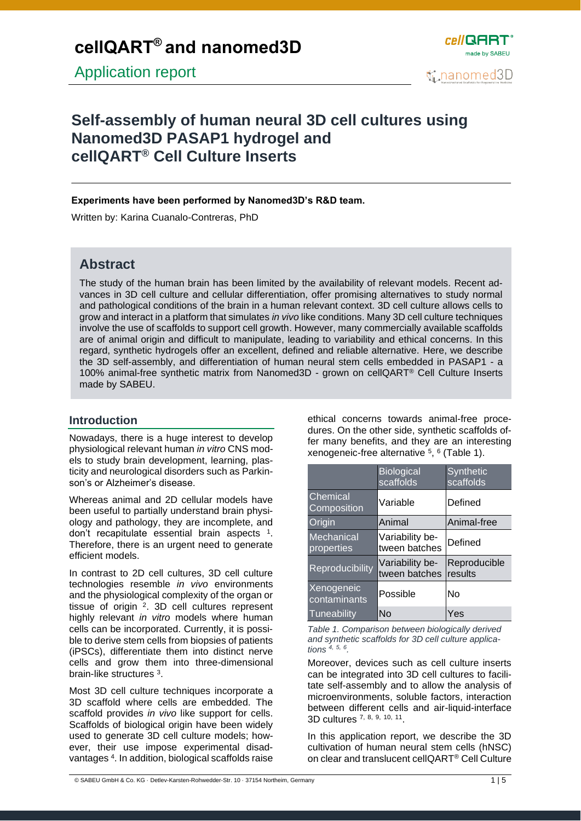

# **[Self-assembly of human neural 3D cell cultures](https://cellqart.com/applications/nanomed3d) using Nanomed3D PASAP1 hydrogel and cellQART® Cell Culture Inserts**

### **Experiments have been performed by Nanomed3D's R&D team.**

Written by: Karina Cuanalo-Contreras, PhD

## **Abstract**

The study of the human brain has been limited by the availability of relevant models. Recent advances in 3D cell culture and cellular differentiation, offer promising alternatives to study normal and pathological conditions of the brain in a human relevant context. 3D cell culture allows cells to grow and interact in a platform that simulates *in vivo* like conditions. Many 3D cell culture techniques involve the use of scaffolds to support cell growth. However, many commercially available scaffolds are of animal origin and difficult to manipulate, leading to variability and ethical concerns. In this regard, synthetic hydrogels offer an excellent, defined and reliable alternative. Here, we describe the 3D self-assembly, and differentiation of human neural stem cells embedded in PASAP1 - a 100% animal-free synthetic matrix from Nanomed3D - grown on cellQART® Cell Culture Inserts made by SABEU.

### **Introduction**

Nowadays, there is a huge interest to develop physiological relevant human *in vitro* CNS models to study brain development, learning, plasticity and neurological disorders such as Parkinson's or Alzheimer's disease.

Whereas animal and 2D cellular models have been useful to partially understand brain physiology and pathology, they are incomplete, and don't recapitulate essential brain aspects <sup>1</sup>. Therefore, there is an urgent need to generate efficient models.

In contrast to 2D cell cultures, 3D cell culture technologies resemble *in vivo* environments and the physiological complexity of the organ or tissue of origin <sup>2</sup>. 3D cell cultures represent highly relevant *in vitro* models where human cells can be incorporated. Currently, it is possible to derive stem cells from biopsies of patients (iPSCs), differentiate them into distinct nerve cells and grow them into three-dimensional brain-like structures <sup>3</sup>.

Most 3D cell culture techniques incorporate a 3D scaffold where cells are embedded. The scaffold provides *in vivo* like support for cells. Scaffolds of biological origin have been widely used to generate 3D cell culture models; however, their use impose experimental disadvantages <sup>4</sup> . In addition, biological scaffolds raise ethical concerns towards animal-free procedures. On the other side, synthetic scaffolds offer many benefits, and they are an interesting xenogeneic-free alternative <sup>5</sup>, <sup>6</sup> (Table 1).

|                                   | <b>Biological</b><br>scaffolds   | Synthetic<br>scaffolds  |
|-----------------------------------|----------------------------------|-------------------------|
| Chemical<br>Composition           | Variable                         | Defined                 |
| Origin                            | Animal                           | Animal-free             |
| Mechanical<br>properties          | Variability be-<br>tween batches | Defined                 |
| <b>Reproducibility</b>            | Variability be-<br>tween batches | Reproducible<br>results |
| <b>Xenogeneic</b><br>contaminants | Possible                         | Nο                      |
| Tuneability                       | No                               | Yes                     |

*Table 1. Comparison between biologically derived and synthetic scaffolds for 3D cell culture applications 4, 5, <sup>6</sup> .*

Moreover, devices such as cell culture inserts can be integrated into 3D cell cultures to facilitate self-assembly and to allow the analysis of microenvironments, soluble factors, interaction between different cells and air-liquid-interface 3D cultures 7, 8, 9, 10, <sup>11</sup> .

In this application report, we describe the 3D cultivation of human neural stem cells (hNSC) on clear and translucent cellQART® Cell Culture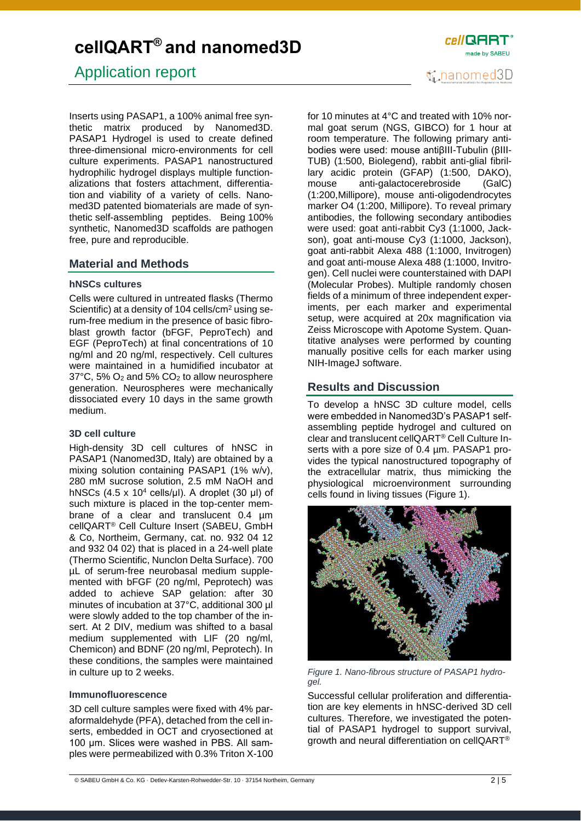Application report

Inserts using PASAP1, a 100% animal free synthetic matrix produced by Nanomed3D. PASAP1 Hydrogel is used to create defined three-dimensional micro-environments for cell culture experiments. PASAP1 nanostructured hydrophilic hydrogel displays multiple functionalizations that fosters attachment, differentiation and viability of a variety of cells. Nanomed3D patented biomaterials are made of synthetic self-assembling peptides. Being 100% synthetic, Nanomed3D scaffolds are pathogen free, pure and reproducible.

### **Material and Methods**

#### **hNSCs cultures**

Cells were cultured in untreated flasks (Thermo Scientific) at a density of 104 cells/cm<sup>2</sup> using serum-free medium in the presence of basic fibroblast growth factor (bFGF, PeproTech) and EGF (PeproTech) at final concentrations of 10 ng/ml and 20 ng/ml, respectively. Cell cultures were maintained in a humidified incubator at 37°C, 5% O<sup>2</sup> and 5% CO<sup>2</sup> to allow neurosphere generation. Neurospheres were mechanically dissociated every 10 days in the same growth medium.

### **3D cell culture**

High-density 3D cell cultures of hNSC in PASAP1 (Nanomed3D, Italy) are obtained by a mixing solution containing PASAP1 (1% w/v), 280 mM sucrose solution, 2.5 mM NaOH and hNSCs  $(4.5 \times 10^4 \text{ cells/µl})$ . A droplet  $(30 \text{ µl})$  of such mixture is placed in the top-center membrane of a clear and translucent 0.4 µm cellQART® Cell Culture Insert (SABEU, GmbH & Co, Northeim, Germany, cat. no. 932 04 12 and 932 04 02) that is placed in a 24-well plate (Thermo Scientific, Nunclon Delta Surface). 700 µL of serum-free neurobasal medium supplemented with bFGF (20 ng/ml, Peprotech) was added to achieve SAP gelation: after 30 minutes of incubation at 37°C, additional 300 µl were slowly added to the top chamber of the insert. At 2 DIV, medium was shifted to a basal medium supplemented with LIF (20 ng/ml, Chemicon) and BDNF (20 ng/ml, Peprotech). In these conditions, the samples were maintained in culture up to 2 weeks.

#### **Immunofluorescence**

3D cell culture samples were fixed with 4% paraformaldehyde (PFA), detached from the cell inserts, embedded in OCT and cryosectioned at 100 μm. Slices were washed in PBS. All samples were permeabilized with 0.3% Triton X-100 for 10 minutes at 4°C and treated with 10% normal goat serum (NGS, GIBCO) for 1 hour at room temperature. The following primary antibodies were used: mouse antiβIII-Tubulin (βIII-TUB) (1:500, Biolegend), rabbit anti-glial fibrillary acidic protein (GFAP) (1:500, DAKO), mouse anti-galactocerebroside (GalC) (1:200,Millipore), mouse anti-oligodendrocytes marker O4 (1:200, Millipore). To reveal primary antibodies, the following secondary antibodies were used: goat anti-rabbit Cy3 (1:1000, Jackson), goat anti-mouse Cy3 (1:1000, Jackson), goat anti-rabbit Alexa 488 (1:1000, Invitrogen) and goat anti-mouse Alexa 488 (1:1000, Invitrogen). Cell nuclei were counterstained with DAPI (Molecular Probes). Multiple randomly chosen fields of a minimum of three independent experiments, per each marker and experimental setup, were acquired at 20x magnification via Zeiss Microscope with Apotome System. Quantitative analyses were performed by counting manually positive cells for each marker using NIH-ImageJ software.

## **Results and Discussion**

To develop a hNSC 3D culture model, cells were embedded in Nanomed3D's PASAP1 selfassembling peptide hydrogel and cultured on clear and translucent cellQART® Cell Culture Inserts with a pore size of 0.4 µm. PASAP1 provides the typical nanostructured topography of the extracellular matrix, thus mimicking the physiological microenvironment surrounding cells found in living tissues (Figure 1).



*Figure 1. Nano-fibrous structure of PASAP1 hydrogel.* 

Successful cellular proliferation and differentiation are key elements in hNSC-derived 3D cell cultures. Therefore, we investigated the potential of PASAP1 hydrogel to support survival, growth and neural differentiation on cellQART®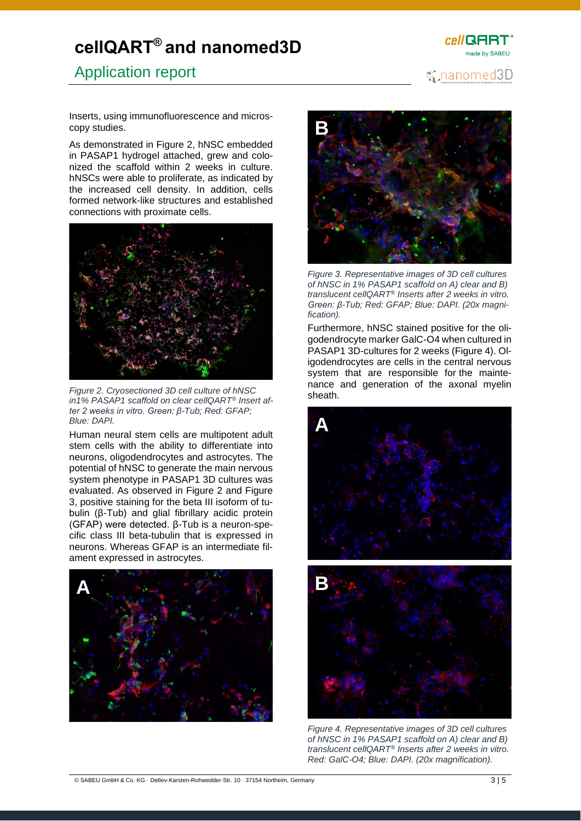# Application report



Inserts, using immunofluorescence and microscopy studies.

As demonstrated in Figure 2, hNSC embedded in PASAP1 hydrogel attached, grew and colonized the scaffold within 2 weeks in culture. hNSCs were able to proliferate, as indicated by the increased cell density. In addition, cells formed network-like structures and established connections with proximate cells.



*Figure 2. Cryosectioned 3D cell culture of hNSC in1% PASAP1 scaffold on clear cellQART® Insert after 2 weeks in vitro. Green: β-Tub; Red: GFAP; Blue: DAPI.*

Human neural stem cells are multipotent adult stem cells with the ability to differentiate into neurons, oligodendrocytes and astrocytes. The potential of hNSC to generate the main nervous system phenotype in PASAP1 3D cultures was evaluated. As observed in Figure 2 and Figure 3, positive staining for the beta III isoform of tubulin (β-Tub) and glial fibrillary acidic protein (GFAP) were detected. β-Tub is a neuron-specific class III beta-tubulin that is expressed in neurons. Whereas GFAP is an intermediate filament expressed in astrocytes.





*Figure 3. Representative images of 3D cell cultures of hNSC in 1% PASAP1 scaffold on A) clear and B) translucent cellQART® Inserts after 2 weeks in vitro. Green: β-Tub; Red: GFAP; Blue: DAPI. (20x magnification).*

Furthermore, hNSC stained positive for the oligodendrocyte marker GalC-O4 when cultured in PASAP1 3D-cultures for 2 weeks (Figure 4). Oligodendrocytes are cells in the central nervous system that are responsible for the maintenance and generation of the axonal myelin sheath.



*Figure 4. Representative images of 3D cell cultures of hNSC in 1% PASAP1 scaffold on A) clear and B) translucent cellQART® Inserts after 2 weeks in vitro. Red: GalC-O4; Blue: DAPI. (20x magnification).*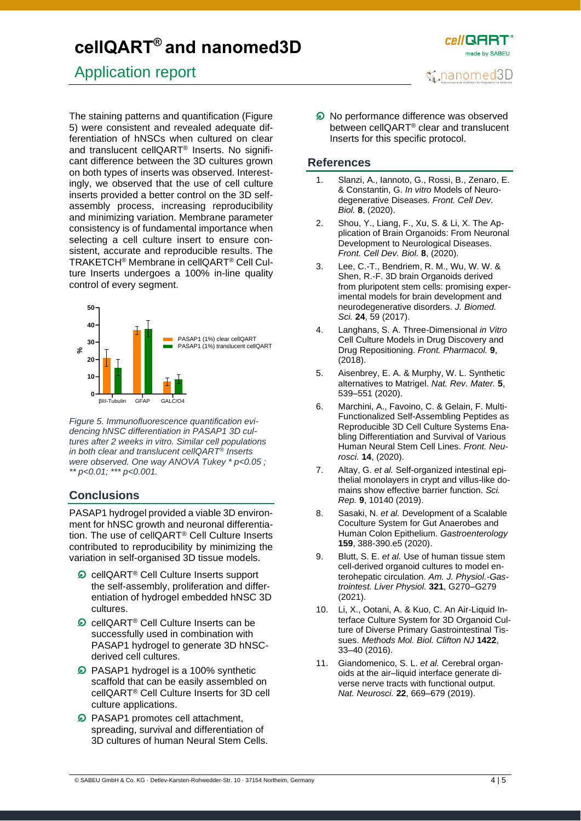# Application report

The staining patterns and quantification (Figure 5) were consistent and revealed adequate differentiation of hNSCs when cultured on clear and translucent cellQART® Inserts. No significant difference between the 3D cultures grown on both types of inserts was observed. Interestingly, we observed that the use of cell culture inserts provided a better control on the 3D selfassembly process, increasing reproducibility and minimizing variation. Membrane parameter consistency is of fundamental importance when selecting a cell culture insert to ensure consistent, accurate and reproducible results. The TRAKETCH® Membrane in cellQART® Cell Culture Inserts undergoes a 100% in-line quality control of every segment.



*Figure 5. Immunofluorescence quantification evidencing hNSC differentiation in PASAP1 3D cultures after 2 weeks in vitro. Similar cell populations in both clear and translucent cellQART® Inserts were observed. One way ANOVA Tukey \* p<0.05 ; \*\* p<0.01; \*\*\* p<0.001.*

### **Conclusions**

PASAP1 hydrogel provided a viable 3D environment for hNSC growth and neuronal differentiation. The use of cellQART® Cell Culture Inserts contributed to reproducibility by minimizing the variation in self-organised 3D tissue models.

- cellQART® Cell Culture Inserts support the self-assembly, proliferation and differentiation of hydrogel embedded hNSC 3D cultures.
- $\Omega$  cellQART<sup>®</sup> Cell Culture Inserts can be successfully used in combination with PASAP1 hydrogel to generate 3D hNSCderived cell cultures.
- **D** PASAP1 hydrogel is a 100% synthetic scaffold that can be easily assembled on cellQART® Cell Culture Inserts for 3D cell culture applications.
- **D** PASAP1 promotes cell attachment, spreading, survival and differentiation of 3D cultures of human Neural Stem Cells.

**O** No performance difference was observed

*cell* QART made by SARELL

nanomed3D

between cellQART® clear and translucent Inserts for this specific protocol.

### **References**

- 1. Slanzi, A., Iannoto, G., Rossi, B., Zenaro, E. & Constantin, G. *In vitro* Models of Neurodegenerative Diseases. *Front. Cell Dev. Biol.* **8**, (2020).
- 2. Shou, Y., Liang, F., Xu, S. & Li, X. The Application of Brain Organoids: From Neuronal Development to Neurological Diseases. *Front. Cell Dev. Biol.* **8**, (2020).
- 3. Lee, C.-T., Bendriem, R. M., Wu, W. W. & Shen, R.-F. 3D brain Organoids derived from pluripotent stem cells: promising experimental models for brain development and neurodegenerative disorders. *J. Biomed. Sci.* **24**, 59 (2017).
- 4. Langhans, S. A. Three-Dimensional *in Vitro* Cell Culture Models in Drug Discovery and Drug Repositioning. *Front. Pharmacol.* **9**, (2018).
- 5. Aisenbrey, E. A. & Murphy, W. L. Synthetic alternatives to Matrigel. *Nat. Rev. Mater.* **5**, 539–551 (2020).
- 6. Marchini, A., Favoino, C. & Gelain, F. Multi-Functionalized Self-Assembling Peptides as Reproducible 3D Cell Culture Systems Enabling Differentiation and Survival of Various Human Neural Stem Cell Lines. *Front. Neurosci.* **14**, (2020).
- 7. Altay, G. *et al.* Self-organized intestinal epithelial monolayers in crypt and villus-like domains show effective barrier function. *Sci. Rep.* **9**, 10140 (2019).
- 8. Sasaki, N. *et al.* Development of a Scalable Coculture System for Gut Anaerobes and Human Colon Epithelium. *Gastroenterology* **159**, 388-390.e5 (2020).
- 9. Blutt, S. E. *et al.* Use of human tissue stem cell-derived organoid cultures to model enterohepatic circulation. *Am. J. Physiol.-Gastrointest. Liver Physiol.* **321**, G270–G279 (2021).
- 10. Li, X., Ootani, A. & Kuo, C. An Air-Liquid Interface Culture System for 3D Organoid Culture of Diverse Primary Gastrointestinal Tissues. *Methods Mol. Biol. Clifton NJ* **1422**, 33–40 (2016).
- 11. Giandomenico, S. L. *et al.* Cerebral organoids at the air–liquid interface generate diverse nerve tracts with functional output. *Nat. Neurosci.* **22**, 669–679 (2019).